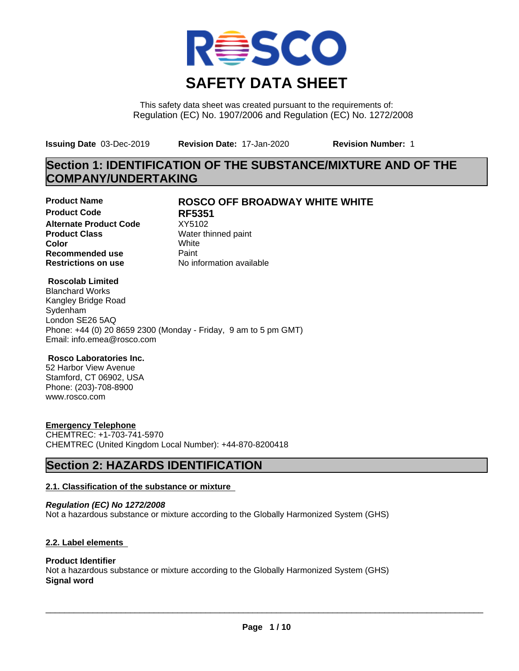

This safety data sheet was created pursuant to the requirements of: Regulation (EC) No. 1907/2006 and Regulation (EC) No. 1272/2008

**Issuing Date** 03-Dec-2019 **Revision Date:** 17-Jan-2020 **Revision Number:** 1

# **Section 1: IDENTIFICATION OF THE SUBSTANCE/MIXTURE AND OF THE COMPANY/UNDERTAKING**

**Product Code RF5351 Alternate Product Code** XY5102<br>**Product Class** Water th **Color** White White **Recommended use** Paint<br> **Restrictions on use** Mo information available **Restrictions on use** 

### **Product Name ROSCO OFF BROADWAY WHITE WHITE**

**Water thinned paint** 

#### **Roscolab Limited**

Blanchard Works Kangley Bridge Road Sydenham London SE26 5AQ Phone: +44 (0) 20 8659 2300 (Monday - Friday, 9 am to 5 pm GMT) Email: info.emea@rosco.com

### **Rosco Laboratories Inc.**

52 Harbor View Avenue Stamford, CT 06902, USA Phone: (203)-708-8900 www.rosco.com

### **Emergency Telephone**

CHEMTREC: +1-703-741-5970 CHEMTREC (United Kingdom Local Number): +44-870-8200418

### **Section 2: HAZARDS IDENTIFICATION**

### **2.1. Classification of the substance or mixture**

*Regulation (EC) No 1272/2008* Not a hazardous substance or mixture according to the Globally Harmonized System (GHS)

### **2.2. Label elements**

### **Product Identifier**

Not a hazardous substance or mixture according to the Globally Harmonized System (GHS) **Signal word**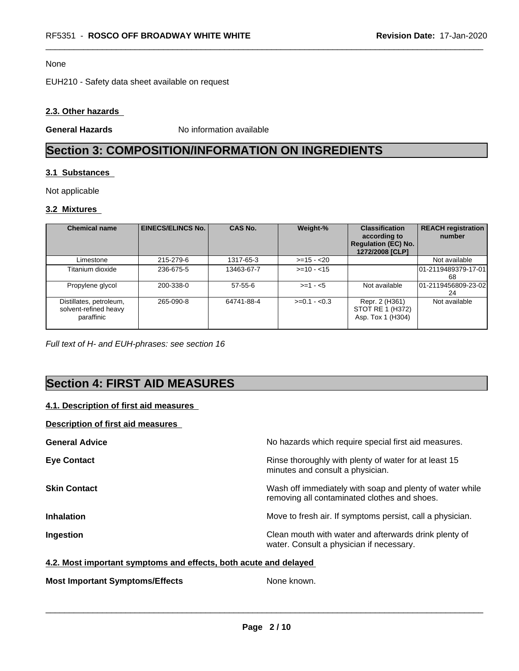#### None

EUH210 - Safety data sheet available on request

#### **2.3. Other hazards**

**General Hazards** No information available

# **Section 3: COMPOSITION/INFORMATION ON INGREDIENTS**

#### **3.1 Substances**

Not applicable

### **3.2 Mixtures**

| <b>Chemical name</b>                                           | <b>EINECS/ELINCS No.</b> | <b>CAS No.</b> | Weight-%      | <b>Classification</b><br>according to<br><b>Regulation (EC) No.</b><br>1272/2008 [CLP] | <b>REACH registration</b><br>number |
|----------------------------------------------------------------|--------------------------|----------------|---------------|----------------------------------------------------------------------------------------|-------------------------------------|
| Limestone                                                      | 215-279-6                | 1317-65-3      | $>=15 - 20$   |                                                                                        | Not available                       |
| Titanium dioxide                                               | 236-675-5                | 13463-67-7     | $>= 10 - 15$  |                                                                                        | 01-2119489379-17-01<br>68           |
| Propylene glycol                                               | 200-338-0                | $57 - 55 - 6$  | $>=1 - 5$     | Not available                                                                          | 01-2119456809-23-02<br>24           |
| Distillates, petroleum,<br>solvent-refined heavy<br>paraffinic | 265-090-8                | 64741-88-4     | $>=0.1 - 0.3$ | Repr. 2 (H361)<br>STOT RE 1 (H372)<br>Asp. Tox 1 (H304)                                | Not available                       |

*Full text of H- and EUH-phrases: see section 16*

# **Section 4: FIRST AID MEASURES**

### **4.1. Description of first aid measures**

### **Description of first aid measures**

| <b>General Advice</b> | No hazards which require special first aid measures.                                                     |
|-----------------------|----------------------------------------------------------------------------------------------------------|
| <b>Eye Contact</b>    | Rinse thoroughly with plenty of water for at least 15<br>minutes and consult a physician.                |
| <b>Skin Contact</b>   | Wash off immediately with soap and plenty of water while<br>removing all contaminated clothes and shoes. |
| <b>Inhalation</b>     | Move to fresh air. If symptoms persist, call a physician.                                                |
| Ingestion             | Clean mouth with water and afterwards drink plenty of<br>water. Consult a physician if necessary.        |

#### **4.2. Most important symptoms and effects, both acute and delayed**

**Most Important Symptoms/Effects** None known.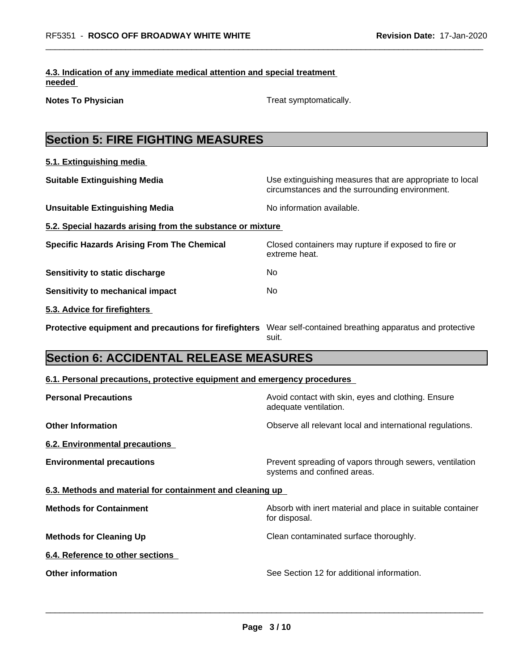#### **4.3. Indication of any immediate medical attention and special treatment needed**

**Treat symptomatically.** 

| <b>Section 5: FIRE FIGHTING MEASURES</b>                                                                     |                                                                                                            |
|--------------------------------------------------------------------------------------------------------------|------------------------------------------------------------------------------------------------------------|
| 5.1. Extinguishing media                                                                                     |                                                                                                            |
| <b>Suitable Extinguishing Media</b>                                                                          | Use extinguishing measures that are appropriate to local<br>circumstances and the surrounding environment. |
| <b>Unsuitable Extinguishing Media</b>                                                                        | No information available.                                                                                  |
| 5.2. Special hazards arising from the substance or mixture                                                   |                                                                                                            |
| <b>Specific Hazards Arising From The Chemical</b>                                                            | Closed containers may rupture if exposed to fire or<br>extreme heat.                                       |
| Sensitivity to static discharge                                                                              | No                                                                                                         |
| Sensitivity to mechanical impact                                                                             | No.                                                                                                        |
| 5.3. Advice for firefighters                                                                                 |                                                                                                            |
| Protective equipment and precautions for firefighters Wear self-contained breathing apparatus and protective | suit.                                                                                                      |
| <b>Section 6: ACCIDENTAL RELEASE MEASURES</b>                                                                |                                                                                                            |
| 6.1. Personal precautions, protective equipment and emergency procedures                                     |                                                                                                            |
| <b>Personal Precautions</b>                                                                                  | Avoid contact with skin, eyes and clothing. Ensure<br>adequate ventilation.                                |
| <b>Other Information</b>                                                                                     | Observe all relevant local and international regulations.                                                  |
| <b>6.2. Environmental precautions</b>                                                                        |                                                                                                            |
| <b>Environmental precautions</b>                                                                             | Prevent spreading of vapors through sewers, ventilation<br>systems and confined areas.                     |
| 6.3. Methods and material for containment and cleaning up                                                    |                                                                                                            |
| <b>Methods for Containment</b>                                                                               | Absorb with inert material and place in suitable container<br>for disposal.                                |
| <b>Methods for Cleaning Up</b>                                                                               | Clean contaminated surface thoroughly.                                                                     |
| 6.4. Reference to other sections                                                                             |                                                                                                            |
| <b>Other information</b>                                                                                     | See Section 12 for additional information.                                                                 |
|                                                                                                              |                                                                                                            |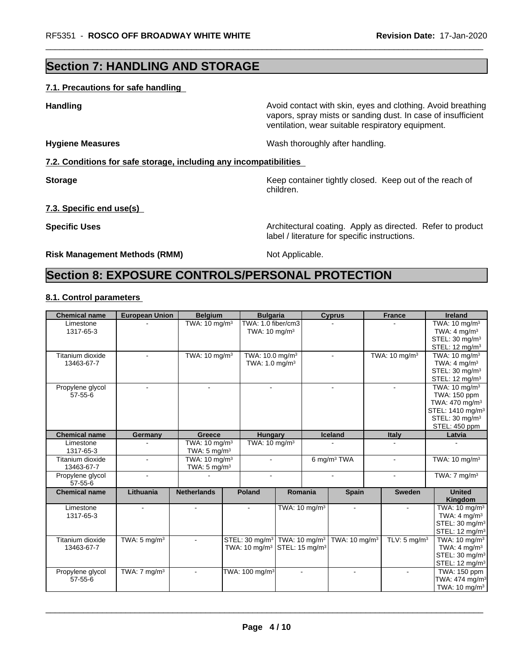### **Section 7: HANDLING AND STORAGE**

#### **7.1. Precautions for safe handling**

**Handling Handling Avoid contact with skin, eyes and clothing. Avoid breathing** 

**Hygiene Measures** Mash thoroughly after handling.

label / literature for specific instructions.

**7.2. Conditions for safe storage, including any incompatibilities**

**Storage Keep container tightly closed. Keep out of the reach of Keep** container tightly closed. Keep out of the reach of children.

vapors, spray mists or sanding dust. In case of insufficient

ventilation, wear suitable respiratory equipment.

#### **7.3. Specific end use(s)**

**Specific Uses Architectural coating. Apply as directed. Refer to product Specific Uses** 

**Risk Management Methods (RMM)** Not Applicable.

### **Section 8: EXPOSURE CONTROLS/PERSONAL PROTECTION**

#### **8.1. Control parameters**

| <b>Chemical name</b>              | <b>European Union</b>   | <b>Belgium</b>            | <b>Bulgaria</b>                                      |                          | <b>Cyprus</b>             | <b>France</b>             | <b>Ireland</b>               |
|-----------------------------------|-------------------------|---------------------------|------------------------------------------------------|--------------------------|---------------------------|---------------------------|------------------------------|
| Limestone                         |                         | TWA: 10 mg/m <sup>3</sup> | TWA: 1.0 fiber/cm3                                   |                          |                           |                           | TWA: 10 mg/m <sup>3</sup>    |
| 1317-65-3                         |                         |                           | TWA: $10 \text{ mg/m}^3$                             |                          |                           |                           | TWA: $4 \text{ mg/m}^3$      |
|                                   |                         |                           |                                                      |                          |                           |                           | STEL: 30 mg/m <sup>3</sup>   |
|                                   |                         |                           |                                                      |                          |                           |                           | STEL: 12 mg/m <sup>3</sup>   |
| Titanium dioxide                  |                         | TWA: 10 mg/m <sup>3</sup> | TWA: 10.0 mg/m <sup>3</sup>                          |                          |                           | TWA: 10 mg/m <sup>3</sup> | TWA: 10 mg/m <sup>3</sup>    |
| 13463-67-7                        |                         |                           | TWA: $1.0$ mg/m <sup>3</sup>                         |                          |                           |                           | TWA: $4 \text{ mg/m}^3$      |
|                                   |                         |                           |                                                      |                          |                           |                           | STEL: 30 mg/m <sup>3</sup>   |
|                                   |                         |                           |                                                      |                          |                           |                           | STEL: 12 mg/m <sup>3</sup>   |
| Propylene glycol                  |                         | $\blacksquare$            | $\blacksquare$                                       |                          | $\blacksquare$            |                           | TWA: $10 \text{ mg/m}^3$     |
| $57 - 55 - 6$                     |                         |                           |                                                      |                          |                           |                           | TWA: 150 ppm                 |
|                                   |                         |                           |                                                      |                          |                           |                           | TWA: 470 mg/m <sup>3</sup>   |
|                                   |                         |                           |                                                      |                          |                           |                           | STEL: 1410 mg/m <sup>3</sup> |
|                                   |                         |                           |                                                      |                          |                           |                           | STEL: 30 mg/m <sup>3</sup>   |
|                                   |                         |                           |                                                      |                          |                           |                           | STEL: 450 ppm                |
| <b>Chemical name</b>              | Germany                 | Greece                    | Hungary                                              |                          | <b>Iceland</b>            | Italy                     | Latvia                       |
| Limestone                         |                         | TWA: $10 \text{ mg/m}^3$  | TWA: $10 \text{ mg/m}^3$                             |                          |                           |                           |                              |
| 1317-65-3                         |                         | TWA: $5 \text{ mg/m}^3$   |                                                      |                          |                           |                           |                              |
| Titanium dioxide                  | ÷                       | TWA: 10 mg/m <sup>3</sup> | $\blacksquare$                                       |                          | 6 mg/m <sup>3</sup> TWA   | $\blacksquare$            | TWA: 10 mg/m <sup>3</sup>    |
| 13463-67-7                        |                         | TWA: $5 \text{ mg/m}^3$   |                                                      |                          |                           |                           |                              |
| Propylene glycol<br>$57 - 55 - 6$ | ÷.                      |                           | $\blacksquare$                                       |                          | ÷                         | $\blacksquare$            | TWA: $7 \text{ mg/m}^3$      |
| <b>Chemical name</b>              | Lithuania               | <b>Netherlands</b>        | <b>Poland</b>                                        | Romania                  | <b>Spain</b>              | <b>Sweden</b>             | <b>United</b>                |
|                                   |                         |                           |                                                      |                          |                           |                           | Kingdom                      |
| Limestone                         | $\sim$                  | $\overline{a}$            | $\sim$                                               | TWA: $10 \text{ mg/m}^3$ | $\sim$                    | $\blacksquare$            | TWA: 10 mg/m <sup>3</sup>    |
| 1317-65-3                         |                         |                           |                                                      |                          |                           |                           | TWA: $4 \text{ mg/m}^3$      |
|                                   |                         |                           |                                                      |                          |                           |                           | STEL: 30 mg/m <sup>3</sup>   |
|                                   |                         |                           |                                                      |                          |                           |                           | STEL: 12 mg/m <sup>3</sup>   |
| Titanium dioxide                  | TWA: $5 \text{ mg/m}^3$ |                           | STEL: 30 mg/m <sup>3</sup> TWA: 10 mg/m <sup>3</sup> |                          | TWA: 10 mg/m <sup>3</sup> | TLV: $5 \text{ ma/m}^3$   | TWA: $10 \text{ ma/m}^3$     |
| 13463-67-7                        |                         |                           | TWA: 10 mg/m <sup>3</sup> STEL: 15 mg/m <sup>3</sup> |                          |                           |                           | TWA: $4 \text{ mg/m}^3$      |
|                                   |                         |                           |                                                      |                          |                           |                           | STEL: 30 mg/m <sup>3</sup>   |
|                                   |                         |                           |                                                      |                          |                           |                           | STEL: 12 mg/m <sup>3</sup>   |
| Propylene glycol                  | TWA: 7 $mg/m3$          | $\sim$                    | TWA: 100 mg/m <sup>3</sup>                           | $\blacksquare$           | ۰                         |                           | TWA: 150 ppm                 |
| $57 - 55 - 6$                     |                         |                           |                                                      |                          |                           |                           | TWA: 474 mg/m <sup>3</sup>   |
|                                   |                         |                           |                                                      |                          |                           |                           | TWA: $10 \text{ mg/m}^3$     |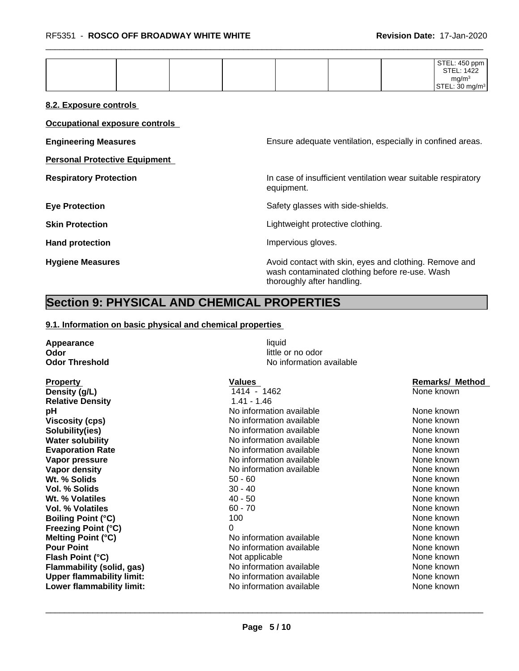| mq/m <sup>3</sup> |  |  |  | STEL: 450 ppm<br><b>STEL: 1422</b>                |  |
|-------------------|--|--|--|---------------------------------------------------|--|
| ┕                 |  |  |  | $\therefore$ 30 mg/m <sup>3</sup><br><b>STEL:</b> |  |

#### **8.2. Exposure controls**

**Occupational exposure controls**

**Personal Protective Equipment**

**Engineering Measures Ensure** Ensure adequate ventilation, especially in confined areas.

**Respiratory Protection In case of insufficient ventilation wear suitable respiratory** equipment.

**Eye Protection** Safety glasses with side-shields.

**Skin Protection Skin Protection Lightweight protective clothing.** 

Hand protection **Impervious** gloves.

**Hygiene Measures Avoid contact with skin, eyes and clothing. Remove and Avoid contact with skin, eyes and clothing. Remove and Avoid contact with skin, eyes and clothing. Remove and** wash contaminated clothing before re-use. Wash thoroughly after handling.

### **Section 9: PHYSICAL AND CHEMICAL PROPERTIES**

#### **9.1. Information on basic physical and chemical properties**

**Appearance** liquid **Odor** little or no odor

**Odor Threshold** No information available

| <b>Property</b>                  | Values                   | <b>Remarks/ Method</b> |
|----------------------------------|--------------------------|------------------------|
| Density (g/L)                    | 1414 - 1462              | None known             |
| <b>Relative Density</b>          | $1.41 - 1.46$            |                        |
| рH                               | No information available | None known             |
| Viscosity (cps)                  | No information available | None known             |
| Solubility(ies)                  | No information available | None known             |
| Water solubility                 | No information available | None known             |
| <b>Evaporation Rate</b>          | No information available | None known             |
| Vapor pressure                   | No information available | None known             |
| Vapor density                    | No information available | None known             |
| Wt. % Solids                     | $50 - 60$                | None known             |
| Vol. % Solids                    | $30 - 40$                | None known             |
| Wt. % Volatiles                  | $40 - 50$                | None known             |
| Vol. % Volatiles                 | $60 - 70$                | None known             |
| <b>Boiling Point (°C)</b>        | 100                      | None known             |
| Freezing Point (°C)              | 0                        | None known             |
| Melting Point (°C)               | No information available | None known             |
| <b>Pour Point</b>                | No information available | None known             |
| Flash Point (°C)                 | Not applicable           | None known             |
| Flammability (solid, gas)        | No information available | None known             |
| <b>Upper flammability limit:</b> | No information available | None known             |
| Lower flammability limit:        | No information available | None known             |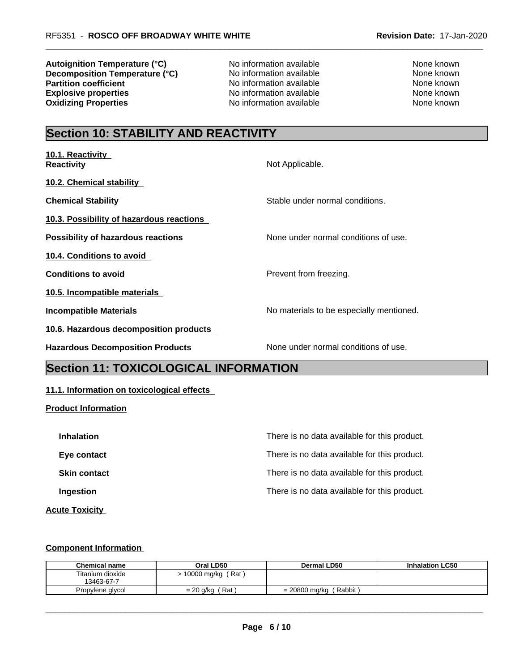**Autoignition Temperature (°C)** No information available None Known None known **Decomposition Temperature (°C)** No information available None known **Partition coefficient**<br> **Explosive properties**<br>
No information available<br>
None known<br>
None known **Oxidizing Properties** No information available

No information available<br>
No information available<br>
None known<br>
None known

# **Section 10: STABILITY AND REACTIVITY**

| 10.1. Reactivity<br><b>Reactivity</b>     | Not Applicable.                          |
|-------------------------------------------|------------------------------------------|
| 10.2. Chemical stability                  |                                          |
| <b>Chemical Stability</b>                 | Stable under normal conditions.          |
| 10.3. Possibility of hazardous reactions  |                                          |
| <b>Possibility of hazardous reactions</b> | None under normal conditions of use.     |
| 10.4. Conditions to avoid                 |                                          |
| <b>Conditions to avoid</b>                | Prevent from freezing.                   |
| 10.5. Incompatible materials              |                                          |
| <b>Incompatible Materials</b>             | No materials to be especially mentioned. |
| 10.6. Hazardous decomposition products    |                                          |
| <b>Hazardous Decomposition Products</b>   | None under normal conditions of use.     |

# **Section 11: TOXICOLOGICAL INFORMATION**

#### **11.1. Information on toxicological effects**

#### **Product Information**

| <b>Inhalation</b>   | There is no data available for this product. |
|---------------------|----------------------------------------------|
| Eye contact         | There is no data available for this product. |
| <b>Skin contact</b> | There is no data available for this product. |
| <b>Ingestion</b>    | There is no data available for this product. |
|                     |                                              |

#### **Acute Toxicity**

#### **Component Information**

| <b>Chemical name</b>           | Oral LD50         | <b>Dermal LD50</b>          | <b>Inhalation LC50</b> |
|--------------------------------|-------------------|-----------------------------|------------------------|
| Titanium dioxide<br>13463-67-7 | 10000 mg/kg (Rat) |                             |                        |
| Propylene glycol               | Rat)<br>= 20 g/kg | ' Rabbit )<br>= 20800 mg/kg |                        |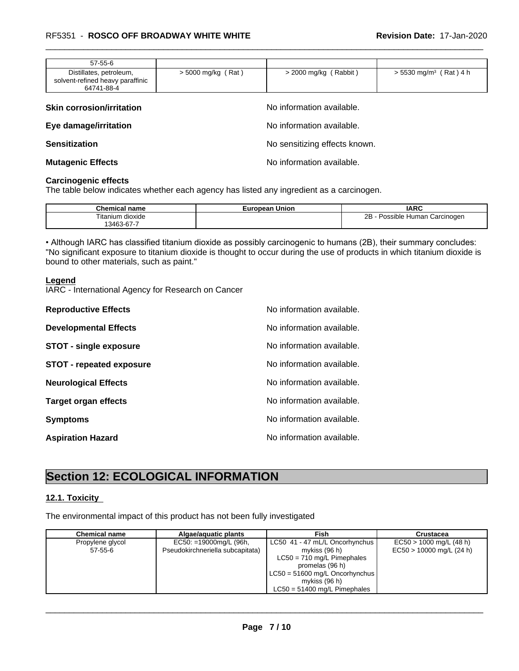| $57 - 55 - 6$                                                             |                    |                       |                                      |
|---------------------------------------------------------------------------|--------------------|-----------------------|--------------------------------------|
| Distillates, petroleum,<br>solvent-refined heavy paraffinic<br>64741-88-4 | > 5000 mg/kg (Rat) | > 2000 mg/kg (Rabbit) | $> 5530$ mg/m <sup>3</sup> (Rat) 4 h |

| <b>Skin corrosion/irritation</b> | No information available.     |
|----------------------------------|-------------------------------|
| Eye damage/irritation            | No information available.     |
| <b>Sensitization</b>             | No sensitizing effects known. |
| <b>Mutagenic Effects</b>         | No information available.     |

#### **Carcinogenic effects**

The table below indicates whether each agency has listed any ingredient as a carcinogen.

| Chemical<br>name            | uropean Union<br>–uro•⊤ | <b>IARC</b>                                   |
|-----------------------------|-------------------------|-----------------------------------------------|
| Titanium dioxide            |                         | ∼<br><b>Human</b><br>. Carcinogen<br>Possible |
| $\sim$ $\sim$<br>13463-67-7 |                         |                                               |

• Although IARC has classified titanium dioxide as possibly carcinogenic to humans (2B), their summary concludes: "No significant exposure to titanium dioxide is thought to occur during the use of products in which titanium dioxide is bound to other materials, such as paint."

#### **Legend**

IARC - International Agency for Research on Cancer

| <b>Reproductive Effects</b>     | No information available. |
|---------------------------------|---------------------------|
| <b>Developmental Effects</b>    | No information available. |
| <b>STOT - single exposure</b>   | No information available. |
| <b>STOT - repeated exposure</b> | No information available. |
| <b>Neurological Effects</b>     | No information available. |
| <b>Target organ effects</b>     | No information available. |
| <b>Symptoms</b>                 | No information available. |
| <b>Aspiration Hazard</b>        | No information available. |

# **Section 12: ECOLOGICAL INFORMATION**

### **12.1. Toxicity**

The environmental impact of this product has not been fully investigated

| <b>Chemical name</b> | Algae/aguatic plants             | Fish                             | <b>Crustacea</b>           |
|----------------------|----------------------------------|----------------------------------|----------------------------|
| Propylene glycol     | $EC50: =19000mg/L (96h,$         | LC50 41 - 47 mL/L Oncorhynchus   | $EC50 > 1000$ mg/L (48 h)  |
| $57 - 55 - 6$        | Pseudokirchneriella subcapitata) | mykiss (96 h)                    | $EC50 > 10000$ mg/L (24 h) |
|                      |                                  | $LC50 = 710$ mg/L Pimephales     |                            |
|                      |                                  | promelas (96 h)                  |                            |
|                      |                                  | $LC50 = 51600$ mg/L Oncorhynchus |                            |
|                      |                                  | mykiss (96 h)                    |                            |
|                      |                                  | $LC50 = 51400$ mg/L Pimephales   |                            |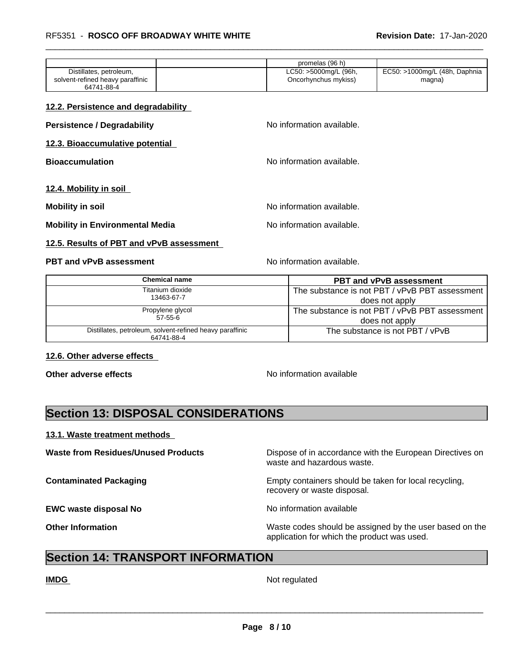#### **12.2. Persistence and degradability**

| No information available. |
|---------------------------|
|                           |
| No information available. |
|                           |
| No information available. |
| No information available. |
|                           |

### **12.5. Results of PBT and vPvB assessment**

#### **PBT and vPvB assessment** No information available.

| Chemical name                                                          | <b>PBT and vPvB assessment</b>                 |
|------------------------------------------------------------------------|------------------------------------------------|
| Titanium dioxide                                                       | The substance is not PBT / vPvB PBT assessment |
| 13463-67-7                                                             | does not apply                                 |
| Propylene glycol                                                       | The substance is not PBT / vPvB PBT assessment |
| 57-55-6                                                                | does not apply                                 |
| Distillates, petroleum, solvent-refined heavy paraffinic<br>64741-88-4 | The substance is not PBT / vPvB                |

#### **12.6. Other adverse effects**

**Other adverse effects No information available No information available** 

# **Section 13: DISPOSAL CONSIDERATIONS**

#### **13.1. Waste treatment methods**

**Waste from Residues/Unused Products** Dispose of in accordance with the European Directives on waste and hazardous waste.

**Contaminated Packaging <b>EMP** Empty containers should be taken for local recycling, recovery or waste disposal.

**EWC waste disposal No** Noinformation available

**Other Information Other Information Intervellence in the Waste codes should be assigned by the user based on the** application for which the product was used.

# **Section 14: TRANSPORT INFORMATION**

**IMDG** Not regulated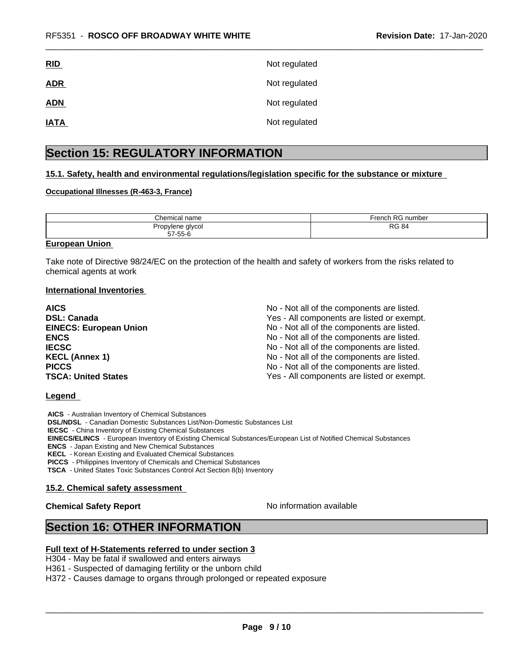| <u>RID</u>  | Not regulated |
|-------------|---------------|
| <b>ADR</b>  | Not regulated |
| <b>ADN</b>  | Not regulated |
| <b>IATA</b> | Not regulated |

# **Section 15: REGULATORY INFORMATION**

#### **15.1. Safety, health and environmental regulations/legislation specific for the substance or mixture**

#### **Occupational Illnesses (R-463-3, France)**

| Chemical name | RG.<br><b>ronch</b><br>number<br>161 IU |
|---------------|-----------------------------------------|
| Propylene     | D <sub>C</sub>                          |
| ∘qlycol       | 84                                      |
| 57-55-6       | טד                                      |

#### **European Union**

Take note of Directive 98/24/EC on the protection of the health and safety of workers from the risks related to chemical agents at work

#### **International Inventories**

| <b>AICS</b>                   | No - Not all of the components are listed. |
|-------------------------------|--------------------------------------------|
| <b>DSL: Canada</b>            | Yes - All components are listed or exempt. |
| <b>EINECS: European Union</b> | No - Not all of the components are listed. |
| <b>ENCS</b>                   | No - Not all of the components are listed. |
| <b>IECSC</b>                  | No - Not all of the components are listed. |
| <b>KECL (Annex 1)</b>         | No - Not all of the components are listed. |
| <b>PICCS</b>                  | No - Not all of the components are listed. |
| <b>TSCA: United States</b>    | Yes - All components are listed or exempt. |

#### **Legend**

 **AICS** - Australian Inventory of Chemical Substances  **DSL/NDSL** - Canadian Domestic Substances List/Non-Domestic Substances List  **IECSC** - China Inventory of Existing Chemical Substances  **EINECS/ELINCS** - European Inventory of Existing Chemical Substances/European List of Notified Chemical Substances  **ENCS** - Japan Existing and New Chemical Substances  **KECL** - Korean Existing and Evaluated Chemical Substances  **PICCS** - Philippines Inventory of Chemicals and Chemical Substances  **TSCA** - United States Toxic Substances Control Act Section 8(b) Inventory

#### **15.2. Chemical safety assessment**

#### **Chemical Safety Report** No information available

 $\overline{\phantom{a}}$  ,  $\overline{\phantom{a}}$  ,  $\overline{\phantom{a}}$  ,  $\overline{\phantom{a}}$  ,  $\overline{\phantom{a}}$  ,  $\overline{\phantom{a}}$  ,  $\overline{\phantom{a}}$  ,  $\overline{\phantom{a}}$  ,  $\overline{\phantom{a}}$  ,  $\overline{\phantom{a}}$  ,  $\overline{\phantom{a}}$  ,  $\overline{\phantom{a}}$  ,  $\overline{\phantom{a}}$  ,  $\overline{\phantom{a}}$  ,  $\overline{\phantom{a}}$  ,  $\overline{\phantom{a}}$ 

# **Section 16: OTHER INFORMATION**

#### **Full text of H-Statements referred to under section 3**

H304 - May be fatal if swallowed and enters airways

H361 - Suspected of damaging fertility or the unborn child

H372 - Causes damage to organs through prolonged or repeated exposure